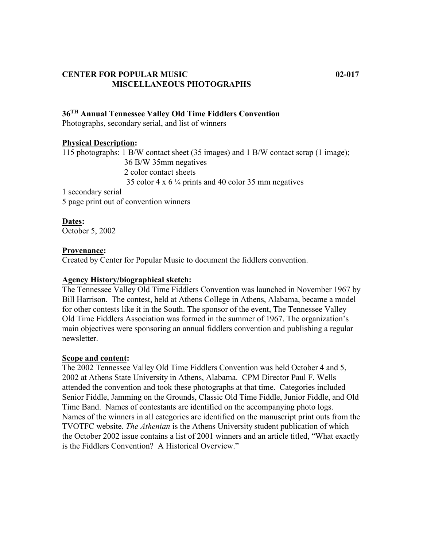### **CENTER FOR POPULAR MUSIC 02-017 MISCELLANEOUS PHOTOGRAPHS**

# **36TH Annual Tennessee Valley Old Time Fiddlers Convention**

Photographs, secondary serial, and list of winners

#### **Physical Description:**

115 photographs: 1 B/W contact sheet (35 images) and 1 B/W contact scrap (1 image); 36 B/W 35mm negatives 2 color contact sheets 35 color 4 x 6 ¼ prints and 40 color 35 mm negatives

1 secondary serial 5 page print out of convention winners

**Dates:** October 5, 2002

#### **Provenance:**

Created by Center for Popular Music to document the fiddlers convention.

#### **Agency History/biographical sketch:**

The Tennessee Valley Old Time Fiddlers Convention was launched in November 1967 by Bill Harrison. The contest, held at Athens College in Athens, Alabama, became a model for other contests like it in the South. The sponsor of the event, The Tennessee Valley Old Time Fiddlers Association was formed in the summer of 1967. The organization's main objectives were sponsoring an annual fiddlers convention and publishing a regular newsletter.

#### **Scope and content:**

The 2002 Tennessee Valley Old Time Fiddlers Convention was held October 4 and 5, 2002 at Athens State University in Athens, Alabama. CPM Director Paul F. Wells attended the convention and took these photographs at that time. Categories included Senior Fiddle, Jamming on the Grounds, Classic Old Time Fiddle, Junior Fiddle, and Old Time Band. Names of contestants are identified on the accompanying photo logs. Names of the winners in all categories are identified on the manuscript print outs from the TVOTFC website. *The Athenian* is the Athens University student publication of which the October 2002 issue contains a list of 2001 winners and an article titled, "What exactly is the Fiddlers Convention? A Historical Overview."